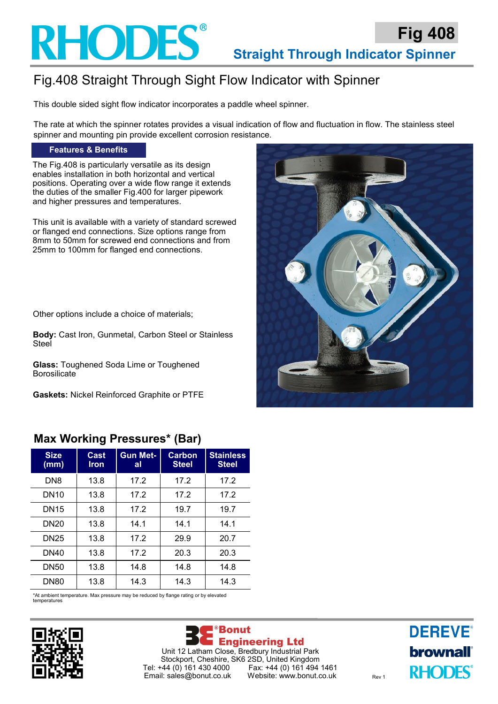

## Fig.408 Straight Through Sight Flow Indicator with Spinner

This double sided sight flow indicator incorporates a paddle wheel spinner.

The rate at which the spinner rotates provides a visual indication of flow and fluctuation in flow. The stainless steel spinner and mounting pin provide excellent corrosion resistance.

#### **Features & Benefits**

The Fig.408 is particularly versatile as its design enables installation in both horizontal and vertical positions. Operating over a wide flow range it extends the duties of the smaller Fig.400 for larger pipework and higher pressures and temperatures.

This unit is available with a variety of standard screwed or flanged end connections. Size options range from 8mm to 50mm for screwed end connections and from 25mm to 100mm for flanged end connections.

Other options include a choice of materials;

**Body:** Cast Iron, Gunmetal, Carbon Steel or Stainless **Steel** 

**Glass:** Toughened Soda Lime or Toughened Borosilicate

**Gaskets:** Nickel Reinforced Graphite or PTFE

### **Max Working Pressures\* (Bar)**

| <b>Size</b><br>(mm) | Cast<br><b>Iron</b> | <b>Gun Met-</b><br>al | Carbon<br><b>Steel</b> | <b>Stainless</b><br><b>Steel</b> |  |  |
|---------------------|---------------------|-----------------------|------------------------|----------------------------------|--|--|
| DN8                 | 13.8                | 17.2                  | 17.2                   | 17.2                             |  |  |
| <b>DN10</b>         | 13.8                | 17.2                  | 17.2                   | 17.2                             |  |  |
| DN <sub>15</sub>    | 13.8                | 17.2                  | 19.7                   | 19.7                             |  |  |
| <b>DN20</b>         | 13.8                | 14.1                  | 14.1                   | 14.1                             |  |  |
| DN25                | 13.8                | 17.2                  | 29.9                   | 20.7                             |  |  |
| DN40                | 13.8                | 17.2                  | 20.3                   | 20.3                             |  |  |
| <b>DN50</b>         | 13.8                | 14.8                  | 14.8                   | 14.8                             |  |  |
| <b>DN80</b>         | 13.8                | 14.3                  | 14.3                   | 14.3                             |  |  |

\*At ambient temperature. Max pressure may be reduced by flange rating or by elevated temperatures